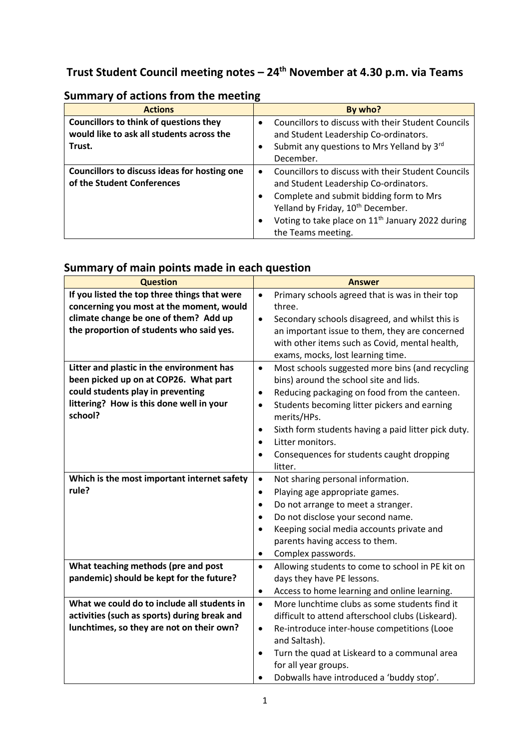# **Trust Student Council meeting notes – 24th November at 4.30 p.m. via Teams**

| <b>Actions</b>                                                                             | By who?                                                                                                  |
|--------------------------------------------------------------------------------------------|----------------------------------------------------------------------------------------------------------|
| <b>Councillors to think of questions they</b><br>would like to ask all students across the | Councillors to discuss with their Student Councils<br>$\bullet$<br>and Student Leadership Co-ordinators. |
| Trust.                                                                                     | Submit any questions to Mrs Yelland by 3rd<br>$\bullet$                                                  |
|                                                                                            | December.                                                                                                |
| Councillors to discuss ideas for hosting one                                               | Councillors to discuss with their Student Councils<br>$\bullet$                                          |
| of the Student Conferences                                                                 | and Student Leadership Co-ordinators.                                                                    |
|                                                                                            | Complete and submit bidding form to Mrs<br>$\bullet$                                                     |
|                                                                                            | Yelland by Friday, 10 <sup>th</sup> December.                                                            |
|                                                                                            | Voting to take place on 11 <sup>th</sup> January 2022 during<br>$\bullet$                                |
|                                                                                            | the Teams meeting.                                                                                       |

# **Summary of actions from the meeting**

# **Summary of main points made in each question**

| <b>Question</b>                              | <b>Answer</b>                                                    |
|----------------------------------------------|------------------------------------------------------------------|
| If you listed the top three things that were | Primary schools agreed that is was in their top<br>$\bullet$     |
| concerning you most at the moment, would     | three.                                                           |
| climate change be one of them? Add up        | Secondary schools disagreed, and whilst this is<br>$\bullet$     |
| the proportion of students who said yes.     | an important issue to them, they are concerned                   |
|                                              | with other items such as Covid, mental health,                   |
|                                              | exams, mocks, lost learning time.                                |
| Litter and plastic in the environment has    | Most schools suggested more bins (and recycling<br>$\bullet$     |
| been picked up on at COP26. What part        | bins) around the school site and lids.                           |
| could students play in preventing            | Reducing packaging on food from the canteen.<br>$\bullet$        |
| littering? How is this done well in your     | Students becoming litter pickers and earning<br>$\bullet$        |
| school?                                      | merits/HPs.                                                      |
|                                              | Sixth form students having a paid litter pick duty.<br>$\bullet$ |
|                                              | Litter monitors.<br>$\bullet$                                    |
|                                              | Consequences for students caught dropping<br>$\bullet$           |
|                                              | litter.                                                          |
| Which is the most important internet safety  | $\bullet$<br>Not sharing personal information.                   |
| rule?                                        | Playing age appropriate games.<br>$\bullet$                      |
|                                              | Do not arrange to meet a stranger.<br>$\bullet$                  |
|                                              | Do not disclose your second name.<br>$\bullet$                   |
|                                              | Keeping social media accounts private and<br>$\bullet$           |
|                                              | parents having access to them.                                   |
|                                              | Complex passwords.<br>$\bullet$                                  |
| What teaching methods (pre and post          | Allowing students to come to school in PE kit on<br>$\bullet$    |
| pandemic) should be kept for the future?     | days they have PE lessons.                                       |
|                                              | Access to home learning and online learning.<br>٠                |
| What we could do to include all students in  | More lunchtime clubs as some students find it<br>$\bullet$       |
| activities (such as sports) during break and | difficult to attend afterschool clubs (Liskeard).                |
| lunchtimes, so they are not on their own?    | Re-introduce inter-house competitions (Looe<br>$\bullet$         |
|                                              | and Saltash).                                                    |
|                                              | Turn the quad at Liskeard to a communal area                     |
|                                              | for all year groups.                                             |
|                                              | Dobwalls have introduced a 'buddy stop'.                         |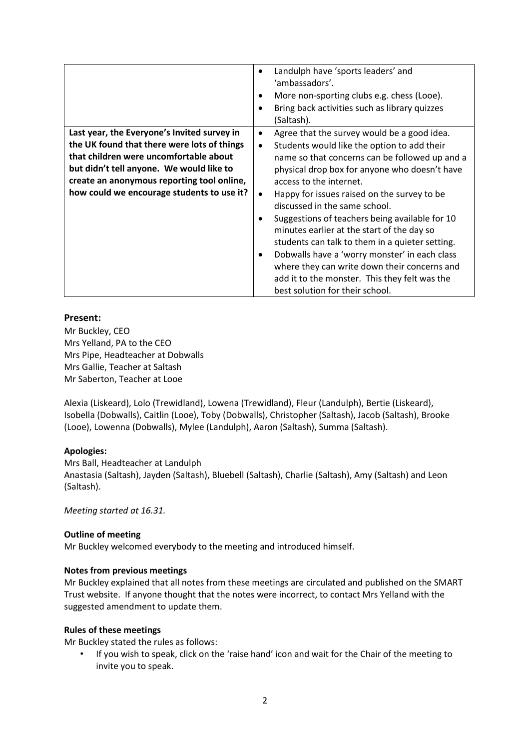|                                                                                                                                                                                                                                                                              | Landulph have 'sports leaders' and<br>'ambassadors'.<br>More non-sporting clubs e.g. chess (Looe).<br>Bring back activities such as library quizzes<br>(Saltash).                                                                                                                                                                                                                                                                                                                                                                                                                                                                                                                            |
|------------------------------------------------------------------------------------------------------------------------------------------------------------------------------------------------------------------------------------------------------------------------------|----------------------------------------------------------------------------------------------------------------------------------------------------------------------------------------------------------------------------------------------------------------------------------------------------------------------------------------------------------------------------------------------------------------------------------------------------------------------------------------------------------------------------------------------------------------------------------------------------------------------------------------------------------------------------------------------|
| Last year, the Everyone's Invited survey in<br>the UK found that there were lots of things<br>that children were uncomfortable about<br>but didn't tell anyone. We would like to<br>create an anonymous reporting tool online,<br>how could we encourage students to use it? | Agree that the survey would be a good idea.<br>$\bullet$<br>Students would like the option to add their<br>$\bullet$<br>name so that concerns can be followed up and a<br>physical drop box for anyone who doesn't have<br>access to the internet.<br>Happy for issues raised on the survey to be<br>$\bullet$<br>discussed in the same school.<br>Suggestions of teachers being available for 10<br>minutes earlier at the start of the day so<br>students can talk to them in a quieter setting.<br>Dobwalls have a 'worry monster' in each class<br>٠<br>where they can write down their concerns and<br>add it to the monster. This they felt was the<br>best solution for their school. |

# **Present:**

Mr Buckley, CEO Mrs Yelland, PA to the CEO Mrs Pipe, Headteacher at Dobwalls Mrs Gallie, Teacher at Saltash Mr Saberton, Teacher at Looe

Alexia (Liskeard), Lolo (Trewidland), Lowena (Trewidland), Fleur (Landulph), Bertie (Liskeard), Isobella (Dobwalls), Caitlin (Looe), Toby (Dobwalls), Christopher (Saltash), Jacob (Saltash), Brooke (Looe), Lowenna (Dobwalls), Mylee (Landulph), Aaron (Saltash), Summa (Saltash).

# **Apologies:**

Mrs Ball, Headteacher at Landulph Anastasia (Saltash), Jayden (Saltash), Bluebell (Saltash), Charlie (Saltash), Amy (Saltash) and Leon (Saltash).

*Meeting started at 16.31.*

# **Outline of meeting**

Mr Buckley welcomed everybody to the meeting and introduced himself.

# **Notes from previous meetings**

Mr Buckley explained that all notes from these meetings are circulated and published on the SMART Trust website. If anyone thought that the notes were incorrect, to contact Mrs Yelland with the suggested amendment to update them.

# **Rules of these meetings**

Mr Buckley stated the rules as follows:

• If you wish to speak, click on the 'raise hand' icon and wait for the Chair of the meeting to invite you to speak.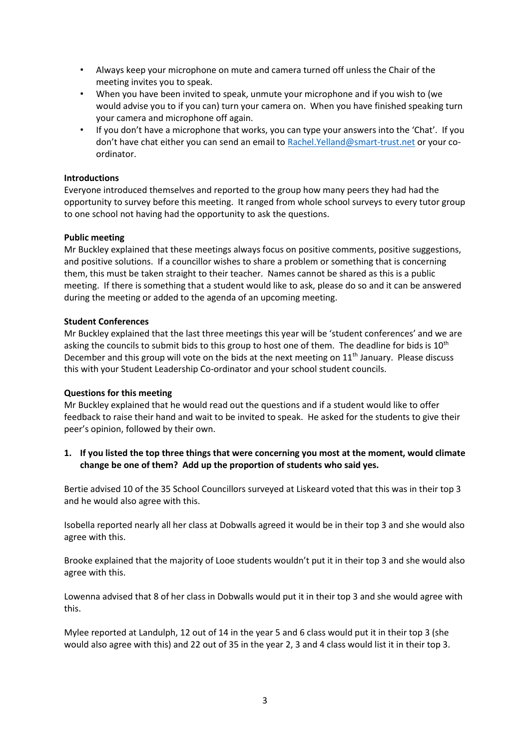- Always keep your microphone on mute and camera turned off unless the Chair of the meeting invites you to speak.
- When you have been invited to speak, unmute your microphone and if you wish to (we would advise you to if you can) turn your camera on. When you have finished speaking turn your camera and microphone off again.
- If you don't have a microphone that works, you can type your answers into the 'Chat'. If you don't have chat either you can send an email to [Rachel.Yelland@smart-trust.net](mailto:Rachel.Yelland@smart-trust.net) or your coordinator.

### **Introductions**

Everyone introduced themselves and reported to the group how many peers they had had the opportunity to survey before this meeting. It ranged from whole school surveys to every tutor group to one school not having had the opportunity to ask the questions.

#### **Public meeting**

Mr Buckley explained that these meetings always focus on positive comments, positive suggestions, and positive solutions. If a councillor wishes to share a problem or something that is concerning them, this must be taken straight to their teacher. Names cannot be shared as this is a public meeting. If there is something that a student would like to ask, please do so and it can be answered during the meeting or added to the agenda of an upcoming meeting.

# **Student Conferences**

Mr Buckley explained that the last three meetings this year will be 'student conferences' and we are asking the councils to submit bids to this group to host one of them. The deadline for bids is 10<sup>th</sup> December and this group will vote on the bids at the next meeting on  $11<sup>th</sup>$  January. Please discuss this with your Student Leadership Co-ordinator and your school student councils.

#### **Questions for this meeting**

Mr Buckley explained that he would read out the questions and if a student would like to offer feedback to raise their hand and wait to be invited to speak. He asked for the students to give their peer's opinion, followed by their own.

# **1. If you listed the top three things that were concerning you most at the moment, would climate change be one of them? Add up the proportion of students who said yes.**

Bertie advised 10 of the 35 School Councillors surveyed at Liskeard voted that this was in their top 3 and he would also agree with this.

Isobella reported nearly all her class at Dobwalls agreed it would be in their top 3 and she would also agree with this.

Brooke explained that the majority of Looe students wouldn't put it in their top 3 and she would also agree with this.

Lowenna advised that 8 of her class in Dobwalls would put it in their top 3 and she would agree with this.

Mylee reported at Landulph, 12 out of 14 in the year 5 and 6 class would put it in their top 3 (she would also agree with this) and 22 out of 35 in the year 2, 3 and 4 class would list it in their top 3.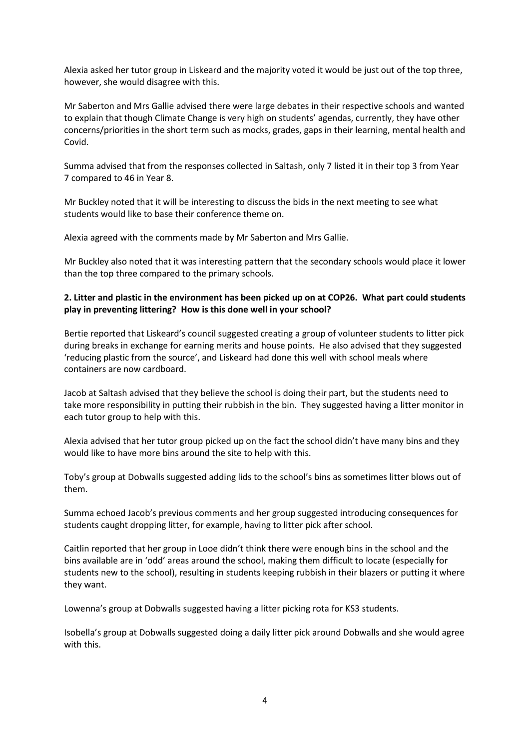Alexia asked her tutor group in Liskeard and the majority voted it would be just out of the top three, however, she would disagree with this.

Mr Saberton and Mrs Gallie advised there were large debates in their respective schools and wanted to explain that though Climate Change is very high on students' agendas, currently, they have other concerns/priorities in the short term such as mocks, grades, gaps in their learning, mental health and Covid.

Summa advised that from the responses collected in Saltash, only 7 listed it in their top 3 from Year 7 compared to 46 in Year 8.

Mr Buckley noted that it will be interesting to discuss the bids in the next meeting to see what students would like to base their conference theme on.

Alexia agreed with the comments made by Mr Saberton and Mrs Gallie.

Mr Buckley also noted that it was interesting pattern that the secondary schools would place it lower than the top three compared to the primary schools.

### **2. Litter and plastic in the environment has been picked up on at COP26. What part could students play in preventing littering? How is this done well in your school?**

Bertie reported that Liskeard's council suggested creating a group of volunteer students to litter pick during breaks in exchange for earning merits and house points. He also advised that they suggested 'reducing plastic from the source', and Liskeard had done this well with school meals where containers are now cardboard.

Jacob at Saltash advised that they believe the school is doing their part, but the students need to take more responsibility in putting their rubbish in the bin. They suggested having a litter monitor in each tutor group to help with this.

Alexia advised that her tutor group picked up on the fact the school didn't have many bins and they would like to have more bins around the site to help with this.

Toby's group at Dobwalls suggested adding lids to the school's bins as sometimes litter blows out of them.

Summa echoed Jacob's previous comments and her group suggested introducing consequences for students caught dropping litter, for example, having to litter pick after school.

Caitlin reported that her group in Looe didn't think there were enough bins in the school and the bins available are in 'odd' areas around the school, making them difficult to locate (especially for students new to the school), resulting in students keeping rubbish in their blazers or putting it where they want.

Lowenna's group at Dobwalls suggested having a litter picking rota for KS3 students.

Isobella's group at Dobwalls suggested doing a daily litter pick around Dobwalls and she would agree with this.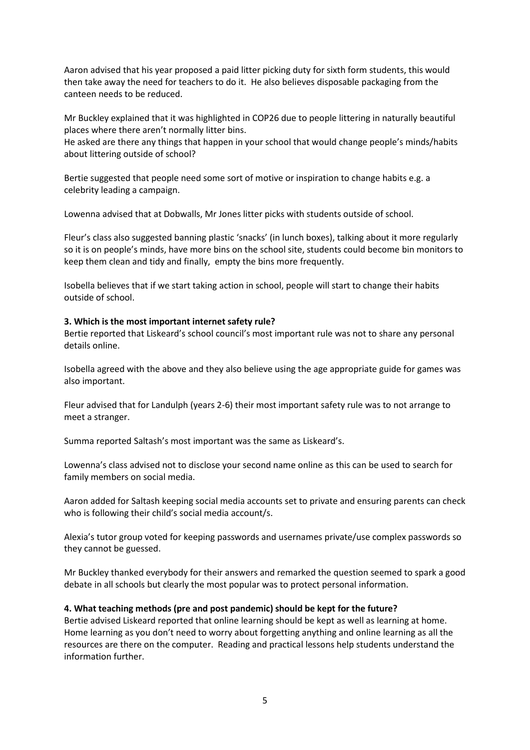Aaron advised that his year proposed a paid litter picking duty for sixth form students, this would then take away the need for teachers to do it. He also believes disposable packaging from the canteen needs to be reduced.

Mr Buckley explained that it was highlighted in COP26 due to people littering in naturally beautiful places where there aren't normally litter bins.

He asked are there any things that happen in your school that would change people's minds/habits about littering outside of school?

Bertie suggested that people need some sort of motive or inspiration to change habits e.g. a celebrity leading a campaign.

Lowenna advised that at Dobwalls, Mr Jones litter picks with students outside of school.

Fleur's class also suggested banning plastic 'snacks' (in lunch boxes), talking about it more regularly so it is on people's minds, have more bins on the school site, students could become bin monitors to keep them clean and tidy and finally, empty the bins more frequently.

Isobella believes that if we start taking action in school, people will start to change their habits outside of school.

# **3. Which is the most important internet safety rule?**

Bertie reported that Liskeard's school council's most important rule was not to share any personal details online.

Isobella agreed with the above and they also believe using the age appropriate guide for games was also important.

Fleur advised that for Landulph (years 2-6) their most important safety rule was to not arrange to meet a stranger.

Summa reported Saltash's most important was the same as Liskeard's.

Lowenna's class advised not to disclose your second name online as this can be used to search for family members on social media.

Aaron added for Saltash keeping social media accounts set to private and ensuring parents can check who is following their child's social media account/s.

Alexia's tutor group voted for keeping passwords and usernames private/use complex passwords so they cannot be guessed.

Mr Buckley thanked everybody for their answers and remarked the question seemed to spark a good debate in all schools but clearly the most popular was to protect personal information.

#### **4. What teaching methods (pre and post pandemic) should be kept for the future?**

Bertie advised Liskeard reported that online learning should be kept as well as learning at home. Home learning as you don't need to worry about forgetting anything and online learning as all the resources are there on the computer. Reading and practical lessons help students understand the information further.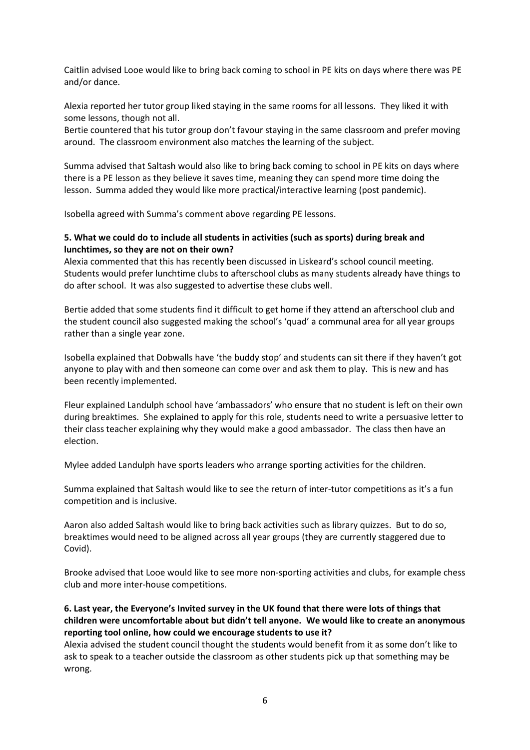Caitlin advised Looe would like to bring back coming to school in PE kits on days where there was PE and/or dance.

Alexia reported her tutor group liked staying in the same rooms for all lessons. They liked it with some lessons, though not all.

Bertie countered that his tutor group don't favour staying in the same classroom and prefer moving around. The classroom environment also matches the learning of the subject.

Summa advised that Saltash would also like to bring back coming to school in PE kits on days where there is a PE lesson as they believe it saves time, meaning they can spend more time doing the lesson. Summa added they would like more practical/interactive learning (post pandemic).

Isobella agreed with Summa's comment above regarding PE lessons.

# **5. What we could do to include all students in activities (such as sports) during break and lunchtimes, so they are not on their own?**

Alexia commented that this has recently been discussed in Liskeard's school council meeting. Students would prefer lunchtime clubs to afterschool clubs as many students already have things to do after school. It was also suggested to advertise these clubs well.

Bertie added that some students find it difficult to get home if they attend an afterschool club and the student council also suggested making the school's 'quad' a communal area for all year groups rather than a single year zone.

Isobella explained that Dobwalls have 'the buddy stop' and students can sit there if they haven't got anyone to play with and then someone can come over and ask them to play. This is new and has been recently implemented.

Fleur explained Landulph school have 'ambassadors' who ensure that no student is left on their own during breaktimes. She explained to apply for this role, students need to write a persuasive letter to their class teacher explaining why they would make a good ambassador. The class then have an election.

Mylee added Landulph have sports leaders who arrange sporting activities for the children.

Summa explained that Saltash would like to see the return of inter-tutor competitions as it's a fun competition and is inclusive.

Aaron also added Saltash would like to bring back activities such as library quizzes. But to do so, breaktimes would need to be aligned across all year groups (they are currently staggered due to Covid).

Brooke advised that Looe would like to see more non-sporting activities and clubs, for example chess club and more inter-house competitions.

**6. Last year, the Everyone's Invited survey in the UK found that there were lots of things that children were uncomfortable about but didn't tell anyone. We would like to create an anonymous reporting tool online, how could we encourage students to use it?**

Alexia advised the student council thought the students would benefit from it as some don't like to ask to speak to a teacher outside the classroom as other students pick up that something may be wrong.